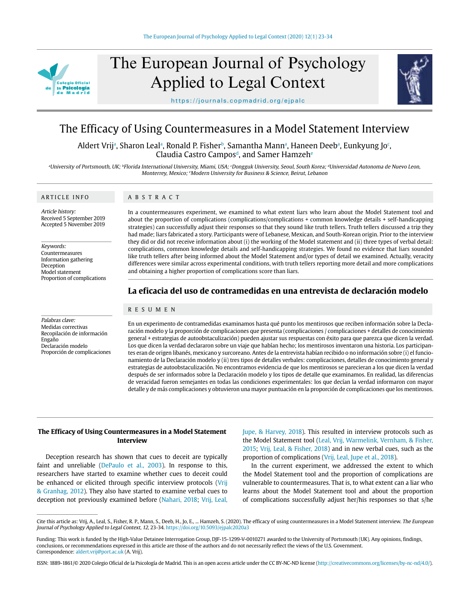

# The European Journal of Psychology Applied to Legal Context



https://journals.copmadrid.org/ejpalc

# The Efficacy of Using Countermeasures in a Model Statement Interview

Aldert Vrijª, Sharon Lealª, Ronald P. Fisherʰ, Samantha Mannª, Haneen Deebª, Eunkyung Jo°, Claudia Castro Campos<sup>d</sup>, and Samer Hamzeh<sup>e</sup>

<sup>a</sup>University of Portsmouth, UK; <sup>b</sup>Florida International University, Miami, USA; *CDongguk University, Seoul, South Korea; <sup>a</sup>Universidad Autonoma de Nuevo Leon*, Monterrey, Mexico; <sup>e</sup>Modern University for Business & Science, Beirut, Lebanon

# ARTICLE INFO

ABSTRACT

Article history: Received 5 September 2019 Accepted 5 November 2019

Keywords: Countermeasures Information gathering Deception Model statement Proportion of complications

Palabras clave: Medidas correctivas Recopilación de información Engaño Declaración modelo Proporción de complicaciones In a countermeasures experiment, we examined to what extent liars who learn about the Model Statement tool and about the proportion of complications (complications/complications + common knowledge details + self-handicapping strategies) can successfully adjust their responses so that they sound like truth tellers. Truth tellers discussed a trip they had made; liars fabricated a story. Participants were of Lebanese, Mexican, and South-Korean origin. Prior to the interview they did or did not receive information about (i) the working of the Model statement and (ii) three types of verbal detail: complications, common knowledge details and self-handicapping strategies. We found no evidence that liars sounded like truth tellers after being informed about the Model Statement and/or types of detail we examined. Actually, veracity differences were similar across experimental conditions, with truth tellers reporting more detail and more complications and obtaining a higher proportion of complications score than liars.

# **La eficacia del uso de contramedidas en una entrevista de declaración modelo**

# RESUMEN

En un experimento de contramedidas examinamos hasta qué punto los mentirosos que reciben información sobre la Declaración modelo y la proporción de complicaciones que presenta (complicaciones / complicaciones + detalles de conocimiento general + estrategias de autoobstaculización) pueden ajustar sus respuestas con éxito para que parezca que dicen la verdad. Los que dicen la verdad declararon sobre un viaje que habían hecho; los mentirosos inventaron una historia. Los participantes eran de origen libanés, mexicano y surcoreano. Antes de la entrevista habían recibido o no información sobre (i) el funcionamiento de la Declaración modelo y (ii) tres tipos de detalles verbales: complicaciones, detalles de conocimiento general y estrategias de autoobstaculización. No encontramos evidencia de que los mentirosos se parecieran a los que dicen la verdad después de ser informados sobre la Declaración modelo y los tipos de detalle que examinamos. En realidad, las diferencias de veracidad fueron semejantes en todas las condiciones experimentales: los que decían la verdad informaron con mayor detalle y de más complicaciones y obtuvieron una mayor puntuación en la proporción de complicaciones que los mentirosos.

# **The Efficacy of Using Countermeasures in a Model Statement Interview**

Deception research has shown that cues to deceit are typically faint and unreliable (DePaulo et al., 2003). In response to this, researchers have started to examine whether cues to deceit could be enhanced or elicited through specific interview protocols (Vrij & Granhag, 2012). They also have started to examine verbal cues to deception not previously examined before (Nahari, 2018; Vrij, Leal, Jupe, & Harvey, 2018). This resulted in interview protocols such as the Model Statement tool (Leal, Vrij, Warmelink, Vernham, & Fisher, 2015; Vrij, Leal, & Fisher, 2018) and in new verbal cues, such as the proportion of complications (Vrij, Leal, Jupe et al., 2018).

In the current experiment, we addressed the extent to which the Model Statement tool and the proportion of complications are vulnerable to countermeasures. That is, to what extent can a liar who learns about the Model Statement tool and about the proportion of complications successfully adjust her/his responses so that s/he

Cite this article as: Vrij, A., Leal, S., Fisher, R. P., Mann, S., Deeb, H., Jo, E., ... Hamzeh, S. (2020). The efficacy of using countermeasures in a Model Statement interview. The European Journal of Psychology Applied to Legal Context, 12, 23-34. https://doi.org/10.5093/ejpalc2020a3

Funding: This work is funded by the High-Value Detainee Interrogation Group, DJF-15-1299-V-0010271 awarded to the University of Portsmouth (UK). Any opinions, findings, conclusions, or recommendations expressed in this article are those of the authors and do not necessarily reflect the views of the U.S. Government. Correspondence: aldert.vrij@port.ac.uk (A. Vrij).

ISSN: 1889-1861/© 2020 Colegio Oficial de la Psicología de Madrid. This is an open access article under the CC BY-NC-ND license (http://creativecommons.org/licenses/by-nc-nd/4.0/).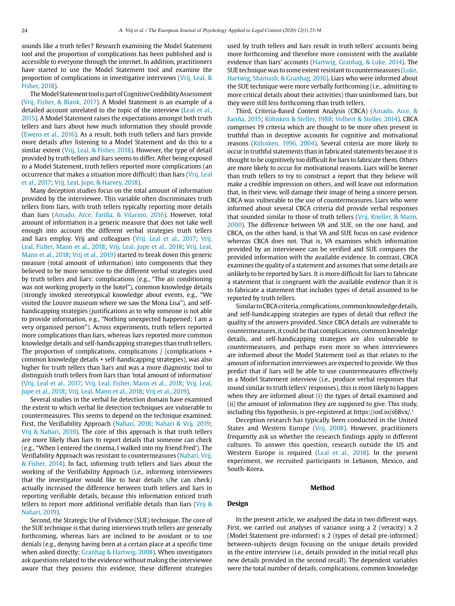sounds like a truth teller? Research examining the Model Statement tool and the proportion of complications has been published and is accessible to everyone through the internet. In addition, practitioners have started to use the Model Statement tool and examine the proportion of complications in investigative interviews (Vrij, Leal, & Fisher, 2018).

The Model Statement tool is part of Cognitive Credibility Assessment (Vrij, Fisher, & Blank, 2017). A Model Statement is an example of a detailed account unrelated to the topic of the interview (Leal et al., 2015). A Model Statement raises the expectations amongst both truth tellers and liars about how much information they should provide (Ewens et al., 2016). As a result, both truth tellers and liars provide more details after listening to a Model Statement and do this to a similar extent (Vrij, Leal, & Fisher, 2018). However, the type of detail provided by truth tellers and liars seems to differ. After being exposed to a Model Statement, truth tellers reported more complications (an occurrence that makes a situation more difficult) than liars (Vrij, Leal et al., 2017; Vrij, Leal, Jupe, & Harvey, 2018).

Many deception studies focus on the total amount of information provided by the interviewee. This variable often discriminates truth tellers from liars, with truth tellers typically reporting more details than liars (Amado, Arce, Fariña, & Vilarino, 2016). However, total amount of information is a generic measure that does not take well enough into account the different verbal strategies truth tellers and liars employ. Vrij and colleagues (Vrij, Leal et al., 2017; Vrij, Leal, Fisher, Mann et al., 2018; Vrij, Leal, Jupe et al., 2018; Vrij, Leal, Mann et al., 2018; Vrij et al., 2019) started to break down this generic measure (total amount of information) into components that they believed to be more sensitive to the different verbal strategies used by truth tellers and liars: complications (e.g., "The air conditioning was not working properly in the hotel"), common knowledge details (strongly invoked stereotypical knowledge about events, e.g., "We visited the Louvre museum where we saw the Mona Lisa"), and selfhandicapping strategies (justifications as to why someone is not able to provide information, e.g., "Nothing unexpected happened; I am a very organised person"). Across experiments, truth tellers reported more complications than liars, whereas liars reported more common knowledge details and self-handicapping strategies than truth tellers. The proportion of complications, complications / (complications + common knowledge details + self-handicapping strategies), was also higher for truth tellers than liars and was a more diagnostic tool to distinguish truth tellers from liars than 'total amount of information' (Vrij, Leal et al., 2017; Vrij, Leal, Fisher, Mann et al., 2018; Vrij, Leal, Jupe et al., 2018; Vrij, Leal, Mann et al., 2018; Vrij et al., 2019).

Several studies in the verbal lie detection domain have examined the extent to which verbal lie detection techniques are vulnerable to countermeasures. This seems to depend on the technique examined. First, the Verifiability Approach (Nahari, 2018; Nahari & Vrij, 2019; Vrij & Nahari, 2019). The core of this approach is that truth tellers are more likely than liars to report details that someone can check (e.g., "When I entered the cinema, I walked into my friend Fred'). The Verifiability Approach was resistant to countermeasures (Nahari, Vrij, & Fisher, 2014). In fact, informing truth tellers and liars about the working of the Verifiability Approach (i.e., informing interviewees that the investigator would like to hear details s/he can check) actually increased the difference between truth tellers and liars in reporting verifiable details, because this information enticed truth tellers to report more additional verifiable details than liars (Vrij & Nahari, 2019).

Second, the Strategic Use of Evidence (SUE) technique. The core of the SUE technique is that during interviews truth tellers are generally forthcoming, whereas liars are inclined to be avoidant or to use denials (e.g., denying having been at a certain place at a specific time when asked directly; Granhag & Hartwig, 2008). When investigators ask questions related to the evidence without making the interviewee aware that they possess this evidence, these different strategies used by truth tellers and liars result in truth tellers' accounts being more forthcoming and therefore more consistent with the available evidence than liars' accounts (Hartwig, Granhag, & Luke, 2014). The SUE technique was to some extent resistant to countermeasures (Luke, Hartwig, Shamash, & Granhag, 2016). Liars who were informed about the SUE technique were more verbally forthcoming (i.e., admitting to more critical details about their activities) than uninformed liars, but they were still less forthcoming than truth tellers.

Third, Criteria-Based Content Analysis (CBCA) (Amado, Arce, & Fariña, 2015; Köhnken & Steller, 1988; Volbert & Steller, 2014). CBCA comprises 19 criteria which are thought to be more often present in truthful than in deceptive accounts for cognitive and motivational reasons (Köhnken, 1996, 2004). Several criteria are more likely to occur in truthful statements than in fabricated statements because it is thought to be cognitively too difficult for liars to fabricate them. Others are more likely to occur for motivational reasons. Liars will be keener than truth tellers to try to construct a report that they believe will make a credible impression on others, and will leave out information that, in their view, will damage their image of being a sincere person. CBCA was vulnerable to the use of countermeasures. Liars who were informed about several CBCA criteria did provide verbal responses that sounded similar to those of truth tellers (Vrij, Kneller, & Mann, 2000). The difference between VA and SUE, on the one hand, and CBCA, on the other hand, is that VA and SUE focus on case evidence whereas CBCA does not. That is, VA examines which information provided by an interviewee can be verified and SUE compares the provided information with the available evidence. In contrast, CBCA examines the quality of a statement and assumes that some details are unlikely to be reported by liars. It is more difficult for liars to fabricate a statement that is congruent with the available evidence than it is to fabricate a statement that includes types of detail assumed to be reported by truth tellers.

Similar to CBCA criteria, complications, common knowledge details, and self-handicapping strategies are types of detail that reflect the quality of the answers provided. Since CBCA details are vulnerable to countermeasures, it could be that complications, common knowledge details, and self-handicapping strategies are also vulnerable to countermeasures, and perhaps even more so when interviewees are informed about the Model Statement tool as that relates to the amount of information interviewees are expected to provide. We thus predict that if liars will be able to use countermeasures effectively in a Model Statement interview (i.e., produce verbal responses that sound similar to truth tellers' responses), this is most likely to happen when they are informed about (i) the types of detail examined and (ii) the amount of information they are supposed to give. This study, including this hypothesis, is pre-registered at https://osf.io/s68vx/.1

Deception research has typically been conducted in the United States and Western Europe (Vrij, 2008). However, practitioners frequently ask us whether the research findings apply in different cultures. To answer this question, research outside the US and Western Europe is required (Leal et al., 2018). In the present experiment, we recruited participants in Lebanon, Mexico, and South-Korea.

#### **Method**

#### **Design**

In the present article, we analysed the data in two different ways. First, we carried out analyses of variance using a 2 (veracity) x 2 (Model Statement pre-informed) x 2 (types of detail pre-informed) between-subjects design focusing on the unique details provided in the entire interview (i.e., details provided in the initial recall plus new details provided in the second recall). The dependent variables were the total number of details, complications, common knowledge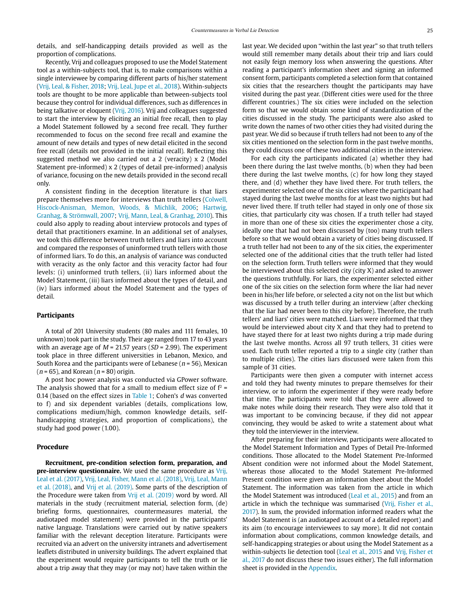details, and self-handicapping details provided as well as the proportion of complications.

Recently, Vrij and colleagues proposed to use the Model Statement tool as a within-subjects tool, that is, to make comparisons within a single interviewee by comparing different parts of his/her statement (Vrij, Leal, & Fisher, 2018; Vrij, Leal, Jupe et al., 2018). Within-subjects tools are thought to be more applicable than between-subjects tool because they control for individual differences, such as differences in being talkative or eloquent (Vrij, 2016). Vrij and colleagues suggested to start the interview by eliciting an initial free recall, then to play a Model Statement followed by a second free recall. They further recommended to focus on the second free recall and examine the amount of new details and types of new detail elicited in the second free recall (details not provided in the initial recall). Reflecting this suggested method we also carried out a 2 (veracity) x 2 (Model Statement pre-informed) x 2 (types of detail pre-informed) analysis of variance, focusing on the new details provided in the second recall only.

A consistent finding in the deception literature is that liars prepare themselves more for interviews than truth tellers (Colwell, Hiscock-Anisman, Memon, Woods, & Michlik, 2006; Hartwig, Granhag, & Strömwall, 2007; Vrij, Mann, Leal, & Granhag, 2010). This could also apply to reading about interview protocols and types of detail that practitioners examine. In an additional set of analyses, we took this difference between truth tellers and liars into account and compared the responses of uninformed truth tellers with those of informed liars. To do this, an analysis of variance was conducted with veracity as the only factor and this veracity factor had four levels: (i) uninformed truth tellers, (ii) liars informed about the Model Statement, (iii) liars informed about the types of detail, and (iv) liars informed about the Model Statement and the types of detail.

#### **Participants**

A total of 201 University students (80 males and 111 females, 10 unknown) took part in the study. Their age ranged from 17 to 43 years with an average age of  $M = 21.57$  years (SD = 2.99). The experiment took place in three different universities in Lebanon, Mexico, and South Korea and the participants were of Lebanese ( $n = 56$ ), Mexican  $(n = 65)$ , and Korean  $(n = 80)$  origin.

A post hoc power analysis was conducted via GPower software. The analysis showed that for a small to medium effect size of  $f^2 =$ 0.14 (based on the effect sizes in Table 1; Cohen's d was converted to f) and six dependent variables (details, complications low, complications medium/high, common knowledge details, selfhandicapping strategies, and proportion of complications), the study had good power (1.00).

# **Procedure**

**Recruitment, pre-condition selection form, preparation, and pre-interview questionnaire.** We used the same procedure as Vrij, Leal et al. (2017), Vrij, Leal, Fisher, Mann et al. (2018), Vrij, Leal, Mann et al. (2018), and Vrij et al. (2019). Some parts of the description of the Procedure were taken from Vrij et al. (2019) word by word. All materials in the study (recruitment material, selection form, (de) briefing forms, questionnaires, countermeasures material, the audiotaped model statement) were provided in the participants' native language. Translations were carried out by native speakers familiar with the relevant deception literature. Participants were recruited via an advert on the university intranets and advertisement leaflets distributed in university buildings. The advert explained that the experiment would require participants to tell the truth or lie about a trip away that they may (or may not) have taken within the

last year. We decided upon "within the last year" so that truth tellers would still remember many details about their trip and liars could not easily feign memory loss when answering the questions. After reading a participant's information sheet and signing an informed consent form, participants completed a selection form that contained six cities that the researchers thought the participants may have visited during the past year. (Different cities were used for the three different countries.) The six cities were included on the selection form so that we would obtain some kind of standardization of the cities discussed in the study. The participants were also asked to write down the names of two other cities they had visited during the past year. We did so because if truth tellers had not been to any of the six cities mentioned on the selection form in the past twelve months, they could discuss one of these two additional cities in the interview.

For each city the participants indicated (a) whether they had been there during the last twelve months, (b) when they had been there during the last twelve months, (c) for how long they stayed there, and (d) whether they have lived there. For truth tellers, the experimenter selected one of the six cities where the participant had stayed during the last twelve months for at least two nights but had never lived there. If truth teller had stayed in only one of those six cities, that particularly city was chosen. If a truth teller had stayed in more than one of these six cities the experimenter chose a city, ideally one that had not been discussed by (too) many truth tellers before so that we would obtain a variety of cities being discussed. If a truth teller had not been to any of the six cities, the experimenter selected one of the additional cities that the truth teller had listed on the selection form. Truth tellers were informed that they would be interviewed about this selected city (city X) and asked to answer the questions truthfully. For liars, the experimenter selected either one of the six cities on the selection form where the liar had never been in his/her life before, or selected a city not on the list but which was discussed by a truth teller during an interview (after checking that the liar had never been to this city before). Therefore, the truth tellers' and liars' cities were matched. Liars were informed that they would be interviewed about city X and that they had to pretend to have stayed there for at least two nights during a trip made during the last twelve months. Across all 97 truth tellers, 31 cities were used. Each truth teller reported a trip to a single city (rather than to multiple cities). The cities liars discussed were taken from this sample of 31 cities.

Participants were then given a computer with internet access and told they had twenty minutes to prepare themselves for their interview, or to inform the experimenter if they were ready before that time. The participants were told that they were allowed to make notes while doing their research. They were also told that it was important to be convincing because, if they did not appear convincing, they would be asked to write a statement about what they told the interviewer in the interview.

After preparing for their interview, participants were allocated to the Model Statement Information and Types of Detail Pre-Informed conditions. Those allocated to the Model Statement Pre-Informed Absent condition were not informed about the Model Statement, whereas those allocated to the Model Statement Pre-Informed Present condition were given an information sheet about the Model Statement. The information was taken from the article in which the Model Statement was introduced (Leal et al., 2015) and from an article in which the technique was summarised (Vrij, Fisher et al., 2017). In sum, the provided information informed readers what the Model Statement is (an audiotaped account of a detailed report) and its aim (to encourage interviewees to say more). It did not contain information about complications, common knowledge details, and self-handicapping strategies or about using the Model Statement as a within-subjects lie detection tool (Leal et al., 2015 and Vrij, Fisher et al., 2017 do not discuss these two issues either). The full information sheet is provided in the Appendix.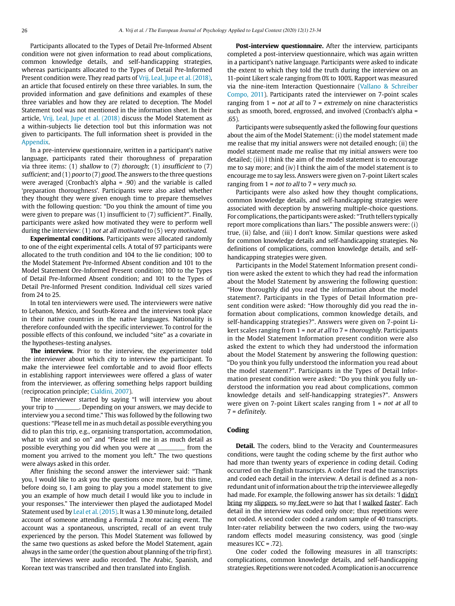Participants allocated to the Types of Detail Pre-Informed Absent condition were not given information to read about complications, common knowledge details, and self-handicapping strategies, whereas participants allocated to the Types of Detail Pre-Informed Present condition were. They read parts of Vrij, Leal, Jupe et al. (2018), an article that focused entirely on these three variables. In sum, the provided information and gave definitions and examples of these three variables and how they are related to deception. The Model Statement tool was not mentioned in the information sheet. In their article, Vrij, Leal, Jupe et al. (2018) discuss the Model Statement as a within-subjects lie detection tool but this information was not given to participants. The full information sheet is provided in the Appendix.

In a pre-interview questionnaire, written in a participant's native language, participants rated their thoroughness of preparation via three items: (1) shallow to  $(7)$  thorough; (1) insufficient to  $(7)$ sufficient; and (1) poor to (7) good. The answers to the three questions were averaged (Cronbach's alpha = .90) and the variable is called 'preparation thoroughness'. Participants were also asked whether they thought they were given enough time to prepare themselves with the following question: "Do you think the amount of time you were given to prepare was (1) insufficient to (7) sufficient?". Finally, participants were asked how motivated they were to perform well during the interview: (1) not at all motivated to (5) very motivated.

**Experimental conditions.** Participants were allocated randomly to one of the eight experimental cells. A total of 97 participants were allocated to the truth condition and 104 to the lie condition; 100 to the Model Statement Pre-Informed Absent condition and 101 to the Model Statement Ore-Informed Present condition; 100 to the Types of Detail Pre-Informed Absent condition; and 101 to the Types of Detail Pre-Informed Present condition. Individual cell sizes varied from 24 to 25.

In total ten interviewers were used. The interviewers were native to Lebanon, Mexico, and South-Korea and the interviews took place in their native countries in the native languages. Nationality is therefore confounded with the specific interviewer. To control for the possible effects of this confound, we included "site" as a covariate in the hypotheses-testing analyses.

**The interview.** Prior to the interview, the experimenter told the interviewer about which city to interview the participant. To make the interviewee feel comfortable and to avoid floor effects in establishing rapport interviewees were offered a glass of water from the interviewer, as offering something helps rapport building (reciprocation principle; Cialdini, 2007).

The interviewer started by saying "I will interview you about your trip to \_\_\_\_\_\_\_\_. Depending on your answers, we may decide to interview you a second time." This was followed by the following two questions: "Please tell me in as much detail as possible everything you did to plan this trip, e.g., organising transportation, accommodation, what to visit and so on" and "Please tell me in as much detail as possible everything you did when you were at \_\_\_\_\_\_\_\_\_ from the moment you arrived to the moment you left." The two questions were always asked in this order.

After finishing the second answer the interviewer said: "Thank you, I would like to ask you the questions once more, but this time, before doing so, I am going to play you a model statement to give you an example of how much detail I would like you to include in your responses." The interviewer then played the audiotaped Model Statement used by Leal et al. (2015). It was a 1.30 minute long, detailed account of someone attending a Formula 2 motor racing event. The account was a spontaneous, unscripted, recall of an event truly experienced by the person. This Model Statement was followed by the same two questions as asked before the Model Statement, again always in the same order (the question about planning of the trip first).

The interviews were audio recorded. The Arabic, Spanish, and Korean text was transcribed and then translated into English.

**Post-interview questionnaire.** After the interview, participants completed a post-interview questionnaire, which was again written in a participant's native language. Participants were asked to indicate the extent to which they told the truth during the interview on an 11-point Likert scale ranging from 0% to 100%. Rapport was measured via the nine-item Interaction Questionnaire (Vallano & Schreiber Compo, 2011). Participants rated the interviewer on 7-point scales ranging from  $1 = not at all to 7 = extremely on nine characteristics$ such as smooth, bored, engrossed, and involved (Cronbach's alpha = .65).

Participants were subsequently asked the following four questions about the aim of the Model Statement: (i) the model statement made me realise that my initial answers were not detailed enough; (ii) the model statement made me realise that my initial answers were too detailed; (iii) I think the aim of the model statement is to encourage me to say more; and (iv) I think the aim of the model statement is to encourage me to say less. Answers were given on 7-point Likert scales ranging from  $1 = not to all to 7 = very much so.$ 

Participants were also asked how they thought complications, common knowledge details, and self-handicapping strategies were associated with deception by answering multiple-choice questions. For complications, the participants were asked: "Truth tellers typically report more complications than liars." The possible answers were: (i) true, (ii) false, and (iii) I don't know. Similar questions were asked for common knowledge details and self-handicapping strategies. No definitions of complications, common knowledge details, and selfhandicapping strategies were given.

Participants in the Model Statement Information present condition were asked the extent to which they had read the information about the Model Statement by answering the following question: "How thoroughly did you read the information about the model statement?. Participants in the Types of Detail Information present condition were asked: "How thoroughly did you read the information about complications, common knowledge details, and self-handicapping strategies?". Answers were given on 7-point Likert scales ranging from 1 = not at all to 7 = thoroughly. Participants in the Model Statement Information present condition were also asked the extent to which they had understood the information about the Model Statement by answering the following question: "Do you think you fully understood the information you read about the model statement?". Participants in the Types of Detail Information present condition were asked: "Do you think you fully understood the information you read about complications, common knowledge details and self-handicapping strategies?". Answers were given on 7-point Likert scales ranging from  $1 = not$  at all to 7 = definitely.

# **Coding**

**Detail.** The coders, blind to the Veracity and Countermeasures conditions, were taught the coding scheme by the first author who had more than twenty years of experience in coding detail. Coding occurred on the English transcripts. A coder first read the transcripts and coded each detail in the interview. A detail is defined as a nonredundant unit of information about the trip the interviewee allegedly had made. For example, the following answer has six details: 'I didn't bring my slippers, so my feet were so hot that I walked faster'. Each detail in the interview was coded only once; thus repetitions were not coded. A second coder coded a random sample of 40 transcripts. Inter-rater reliability between the two coders, using the two-way random effects model measuring consistency, was good (single measures  $ICC = 72$ ).

One coder coded the following measures in all transcripts: complications, common knowledge details, and self-handicapping strategies. Repetitions were not coded. A complication is an occurrence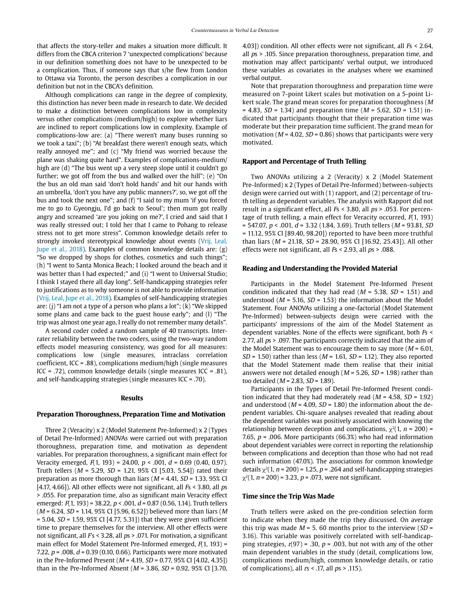that affects the story-teller and makes a situation more difficult. It differs from the CBCA criterion 7 'unexpected complications' because in our definition something does not have to be unexpected to be a complication. Thus, if someone says that s/he flew from London to Ottawa via Toronto, the person describes a complication in our definition but not in the CBCA's definition.

Although complications can range in the degree of complexity, this distinction has never been made in research to date. We decided to make a distinction between complications low in complexity versus other complications (medium/high) to explore whether liars are inclined to report complications low in complexity. Example of complications-low are: (a) "There weren't many buses running so we took a taxi"; (b) "At breakfast there weren't enough seats, which really annoyed me"; and (c) "My friend was worried because the plane was shaking quite hard". Examples of complications-medium/ high are (d) "The bus went up a very steep slope until it couldn't go further; we got off from the bus and walked over the hill"; (e) "On the bus an old man said 'don't hold hands' and hit our hands with an umbrella, 'don't you have any public manners?', so, we got off the bus and took the next one"; and (f) "I said to my mum 'if you forced me to go to Gyeongju, I'd go back to Seoul'; then mum got really angry and screamed 'are you joking on me?', I cried and said that I was really stressed out; I told her that I came to Pohang to release stress not to get more stress". Common knowledge details refer to strongly invoked stereotypical knowledge about events (Vrij, Leal, Jupe et al., 2018). Examples of common knowledge details are: (g) "So we dropped by shops for clothes, cosmetics and such things"; (h) "I went to Santa Monica Beach; I looked around the beach and it was better than I had expected;" and (i) "I went to Universal Studio; I think I stayed there all day long". Self-handicapping strategies refer to justifications as to why someone is not able to provide information (Vrij, Leal, Jupe et al., 2018). Examples of self-handicapping strategies are: (j) "I am not a type of a person who plans a lot"; (k) "We skipped some plans and came back to the guest house early"; and (l) "The trip was almost one year ago, I really do not remember many details".

A second coder coded a random sample of 40 transcripts. Interrater reliability between the two coders, using the two-way random effects model measuring consistency, was good for all measures: complications low (single measures, intraclass correlation coefficient, ICC = .88), complications medium/high (single measures ICC = .72), common knowledge details (single measures ICC = .81), and self-handicapping strategies (single measures ICC = .70).

#### **Results**

#### **Preparation Thoroughness, Preparation Time and Motivation**

Three 2 (Veracity) x 2 (Model Statement Pre-Informed) x 2 (Types of Detail Pre-Informed) ANOVAs were carried out with preparation thoroughness, preparation time, and motivation as dependent variables. For preparation thoroughness, a significant main effect for Veracity emerged,  $F(1, 193) = 24.00$ ,  $p < .001$ ,  $d = 0.69$  (0.40, 0.97). Truth tellers ( $M = 5.29$ ,  $SD = 1.21$ , 95% CI [5.03, 5.54]) rated their preparation as more thorough than liars ( $M = 4.41$ ,  $SD = 1.33$ , 95% CI [4.17, 4.66]). All other effects were not significant, all  $Fs < 3.80$ , all ps > .055. For preparation time, also as significant main Veracity effect emerged:  $F(1, 193) = 38.22$ ,  $p < .001$ ,  $d = 0.87$  (0.56, 1.14). Truth tellers  $(M = 6.24, SD = 1.14, 95\%$  CI [5.96, 6.52]) believed more than liars (M  $= 5.04$ ,  $SD = 1.59$ ,  $95\%$  CI [4.77, 5.31]) that they were given sufficient time to prepare themselves for the interview. All other effects were not significant, all  $Fs < 3.28$ , all  $ps > .071$ . For motivation, a significant main effect for Model Statement Pre-Informed emerged,  $F(1, 193)$  = 7.22,  $p = 0.008$ ,  $d = 0.39$  (0.10, 0.66). Participants were more motivated in the Pre-Informed Present ( $M = 4.19$ ,  $SD = 0.77$ , 95% CI [4.02, 4.35]) than in the Pre-Informed Absent ( $M = 3.86$ ,  $SD = 0.92$ , 95% CI [3.70,

4.03]) condition. All other effects were not significant, all  $Fs < 2.64$ , all  $ps > 0.105$ . Since preparation thoroughness, preparation time, and motivation may affect participants' verbal output, we introduced these variables as covariates in the analyses where we examined verbal output.

Note that preparation thoroughness and preparation time were measured on 7-point Likert scales but motivation on a 5-point Likert scale. The grand mean scores for preparation thoroughness (M = 4.83,  $SD = 1.34$ ) and preparation time ( $M = 5.62$ ,  $SD = 1.51$ ) indicated that participants thought that their preparation time was moderate but their preparation time sufficient. The grand mean for motivation ( $M = 4.02$ ,  $SD = 0.86$ ) shows that participants were very motivated.

#### **Rapport and Percentage of Truth Telling**

Two ANOVAs utilizing a 2 (Veracity) x 2 (Model Statement Pre-Informed) x 2 (Types of Detail Pre-Informed) between-subjects design were carried out with (1) rapport, and (2) percentage of truth telling as dependent variables. The analysis with Rapport did not result in a significant effect, all Fs < 3.80, all ps > .053. For percentage of truth telling, a main effect for Veracity occurred,  $F(1, 193)$  $= 547.07$ ,  $p < .001$ ,  $d = 3.32$  (1.84, 3.69). Truth tellers (*M* = 93.81, *SD*  $= 11.12$ , 95% CI [89.40, 98.20]) reported to have been more truthful than liars ( $M = 21.18$ ,  $SD = 28.90$ ,  $95\%$  CI [16.92, 25.43]). All other effects were not significant, all  $Fs < 2.93$ , all  $ps > .088$ .

#### **Reading and Understanding the Provided Material**

Participants in the Model Statement Pre-Informed Present condition indicated that they had read ( $M = 5.38$ ,  $SD = 1.51$ ) and understood ( $M = 5.16$ ,  $SD = 1.53$ ) the information about the Model Statement. Four ANOVAs utilizing a one-factorial (Model Statement Pre-Informed) between-subjects design were carried with the participants' impressions of the aim of the Model Statement as dependent variables. None of the effects were significant, both Fs < 2.77, all ps > .097. The participants correctly indicated that the aim of the Model Statement was to encourage them to say more ( $M = 6.01$ ,  $SD = 1.50$ ) rather than less ( $M = 1.61$ ,  $SD = 1.12$ ). They also reported that the Model Statement made them realise that their initial answers were not detailed enough ( $M = 5.26$ ,  $SD = 1.98$ ) rather than too detailed ( $M = 2.83$ ,  $SD = 1.89$ ).

Participants in the Types of Detail Pre-Informed Present condition indicated that they had moderately read ( $M = 4.58$ ,  $SD = 1.92$ ) and understood ( $M = 4.09$ ,  $SD = 1.80$ ) the information about the dependent variables. Chi-square analyses revealed that reading about the dependent variables was positively associated with knowing the relationship between deception and complications,  $\chi^2(1, n = 200)$  = 7.65,  $p = 0.006$ . More participants (66.3%) who had read information about dependent variables were correct in reporting the relationship between complications and deception than those who had not read such information (47.0%). The associations for common knowledge details  $\chi^2(1, n = 200) = 1.25$ ,  $p = .264$  and self-handicapping strategies  $\chi^2(1, n = 200) = 3.23, p = .073$ , were not significant.

#### **Time since the Trip Was Made**

Truth tellers were asked on the pre-condition selection form to indicate when they made the trip they discussed. On average this trip was made  $M = 5$ . 60 months prior to the interview (SD = 3.16). This variable was positively correlated with self-handicapping strategies,  $r(97) = .30$ ,  $p = .003$ , but not with any of the other main dependent variables in the study (detail, complications low, complications medium/high, common knowledge details, or ratio of complications), all  $rs <$  .17, all  $ps >$  .115).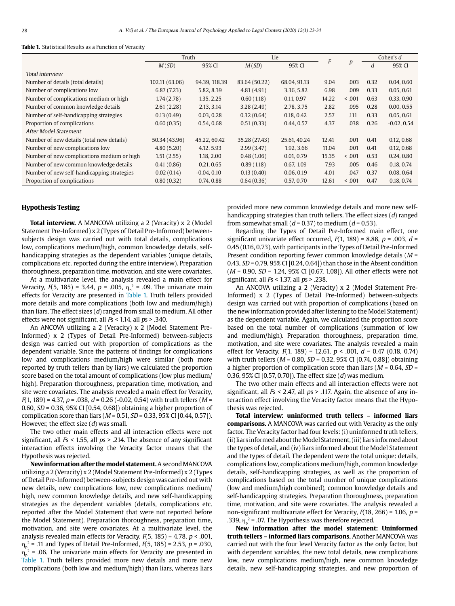#### **Table 1.** Statistical Results as a Function of Veracity

|                                            | Truth                                                |               |               | Lie          |                  |               | Cohen's d |            |  |  |
|--------------------------------------------|------------------------------------------------------|---------------|---------------|--------------|------------------|---------------|-----------|------------|--|--|
|                                            | M(SD)                                                | 95% CI        | M(SD)         |              | $\boldsymbol{p}$ | d             | 95% CI    |            |  |  |
| Total interview                            |                                                      |               |               |              |                  |               |           |            |  |  |
| Number of details (total details)          | 102.11 (63.06)                                       | 94.39, 118.39 | 83.64 (50.22) | 68.04, 91.13 | 9.04             | .003          | 0.32      | 0.04, 0.60 |  |  |
| Number of complications low                | 6.87(7.23)                                           | 5.82, 8.39    | 4.81(4.91)    | 3.36, 5.82   | 6.98             | .009          | 0.33      | 0.05, 0.61 |  |  |
| Number of complications medium or high     | 1.74(2.78)                                           | 1.35, 2.25    | 0.60(1.18)    | 0.11, 0.97   | 14.22            | 0.001         | 0.63      | 0.33, 0.90 |  |  |
| Number of common knowledge details         | 2.61(2.28)                                           | 2.13, 3.14    | 3.28(2.49)    | 2.78, 3.75   | 2.82             | .095          | 0.28      | 0.00, 0.55 |  |  |
| Number of self-handicapping strategies     | 0.13(0.49)                                           | 0.03, 0.28    | 0.32(0.64)    | 0.18, 0.42   | 2.57             | .111          | 0.33      | 0.05, 0.61 |  |  |
| Proportion of complications                | 0.60(0.35)<br>0.51(0.33)<br>0.54, 0.68<br>0.44, 0.57 |               | 4.37          | .038         | 0.26             | $-0.02, 0.54$ |           |            |  |  |
| After Model Statement                      |                                                      |               |               |              |                  |               |           |            |  |  |
| Number of new details (total new details)  | 50.34 (43.96)                                        | 45.22, 60.42  | 35.28 (27.43) | 25.61, 40.24 | 12.41            | .001          | 0.41      | 0.12, 0.68 |  |  |
| Number of new complications low            | 4.80(5.20)                                           | 4.12, 5.93    | 2.99(3.47)    | 1.92, 3.66   | 11.04            | .001          | 0.41      | 0.12, 0.68 |  |  |
| Number of new complications medium or high | 1.51(2.55)                                           | 1.18, 2.00    | 0.48(1.06)    | 0.01, 0.79   | 15.35            | 0.001         | 0.53      | 0.24, 0.80 |  |  |
| Number of new common knowledge details     | 0.41(0.86)                                           | 0.21, 0.65    | 0.89(1.18)    | 0.67, 1.09   | 7.93             | .005          | 0.46      | 0.18, 0.74 |  |  |
| Number of new self-handicapping strategies | 0.02(0.14)                                           | $-0.04, 0.10$ | 0.13(0.40)    | 0.06, 0.19   | 4.01             | .047          | 0.37      | 0.08, 0.64 |  |  |
| Proportion of complications                | 0.80(0.32)                                           | 0.74, 0.88    | 0.64(0.36)    | 0.57, 0.70   | 12.61            | 0.001         | 0.47      | 0.18, 0.74 |  |  |

#### **Hypothesis Testing**

**Total interview.** A MANCOVA utilizing a 2 (Veracity) x 2 (Model Statement Pre-Informed) x 2 (Types of Detail Pre-Informed) betweensubjects design was carried out with total details, complications low, complications medium/high, common knowledge details, selfhandicapping strategies as the dependent variables (unique details, complications etc. reported during the entire interview). Preparation thoroughness, preparation time, motivation, and site were covariates.

At a multivariate level, the analysis revealed a main effect for Veracity,  $F(5, 185) = 3.44$ ,  $p = .005$ ,  $\eta_p^2 = .09$ . The univariate main effects for Veracity are presented in Table 1. Truth tellers provided more details and more complications (both low and medium/high) than liars. The effect sizes (d) ranged from small to medium. All other effects were not significant, all Fs < 1.14, all ps > .340.

An ANCOVA utilizing a 2 (Veracity) x 2 (Model Statement Pre-Informed) x 2 (Types of Detail Pre-Informed) between-subjects design was carried out with proportion of complications as the dependent variable. Since the patterns of findings for complications low and complications medium/high were similar (both more reported by truth tellers than by liars) we calculated the proportion score based on the total amount of complications (low plus medium/ high). Preparation thoroughness, preparation time, motivation, and site were covariates. The analysis revealed a main effect for Veracity,  $F(1, 189) = 4.37$ ,  $p = .038$ ,  $d = 0.26$  (-0.02, 0.54) with truth tellers (M = 0.60, SD = 0.36, 95% CI [0.54, 0.68]) obtaining a higher proportion of complication score than liars ( $M = 0.51$ ,  $SD = 0.33$ , 95% CI [0.44, 0.57]). However, the effect size  $(d)$  was small.

The two other main effects and all interaction effects were not significant, all  $Fs < 1.55$ , all  $ps > .214$ . The absence of any significant interaction effects involving the Veracity factor means that the Hypothesis was rejected.

**New information after the model statement.** A second MANCOVA utilizing a 2 (Veracity) x 2 (Model Statement Pre-Informed) x 2 (Types of Detail Pre-Informed) between-subjects design was carried out with new details, new complications low, new complications medium/ high, new common knowledge details, and new self-handicapping strategies as the dependent variables (details, complications etc. reported after the Model Statement that were not reported before the Model Statement). Preparation thoroughness, preparation time, motivation, and site were covariates. At a multivariate level, the analysis revealed main effects for Veracity,  $F(5, 185) = 4.78$ ,  $p < .001$ ,  $\eta_{p}^2$  = .11 and Types of Detail Pre-Informed,  $F(5, 185)$  = 2.53, p = .030,  $\eta$  $\frac{1}{2}$  = .06. The univariate main effects for Veracity are presented in Table 1. Truth tellers provided more new details and more new complications (both low and medium/high) than liars, whereas liars

provided more new common knowledge details and more new selfhandicapping strategies than truth tellers. The effect sizes (d) ranged from somewhat small ( $d = 0.37$ ) to medium ( $d = 0.53$ ).

Regarding the Types of Detail Pre-Informed main effect, one significant univariate effect occurred,  $F(1, 189) = 8.88$ ,  $p = .003$ ,  $d =$ 0.45 (0.16, 0.73), with participants in the Types of Detail Pre-Informed Present condition reporting fewer common knowledge details  $(M =$ 0.43, SD = 0.79, 95% CI [0.24, 0.64]) than those in the Absent condition  $(M = 0.90, SD = 1.24, 95\%$  CI [0.67, 1.08]). All other effects were not significant, all  $Fs < 1.37$ , all  $ps > .238$ .

An ANCOVA utilizing a 2 (Veracity) x 2 (Model Statement Pre-Informed) x 2 (Types of Detail Pre-Informed) between-subjects design was carried out with proportion of complications (based on the new information provided after listening to the Model Statement) as the dependent variable. Again, we calculated the proportion score based on the total number of complications (summation of low and medium/high). Preparation thoroughness, preparation time, motivation, and site were covariates. The analysis revealed a main effect for Veracity,  $F(1, 189) = 12.61$ ,  $p < .001$ ,  $d = 0.47$  (0.18, 0.74) with truth tellers ( $M = 0.80$ ,  $SD = 0.32$ , 95% CI [0.74, 0.88]) obtaining a higher proportion of complication score than liars ( $M = 0.64$ ,  $SD =$ 0.36, 95% CI [0.57, 0.70]). The effect size  $(d)$  was medium.

The two other main effects and all interaction effects were not significant, all  $Fs < 2.47$ , all  $ps > .117$ . Again, the absence of any interaction effect involving the Veracity factor means that the Hypothesis was rejected.

**Total interview: uninformed truth tellers – informed liars comparisons.** A MANCOVA was carried out with Veracity as the only factor. The Veracity factor had four levels: (i) uninformed truth tellers, (ii) liars informed about the Model Statement, (iii) liars informed about the types of detail, and (iv) liars informed about the Model Statement and the types of detail. The dependent were the total unique: details, complications low, complications medium/high, common knowledge details, self-handicapping strategies, as well as the proportion of complications based on the total number of unique complications (low and medium/high combined), common knowledge details and self-handicapping strategies. Preparation thoroughness, preparation time, motivation, and site were covariates. The analysis revealed a non-significant multivariate effect for Veracity,  $F(18, 266) = 1.06$ ,  $p =$ .339,  $\eta_{\rm p}^{\rm 2}$  = .07. The Hypothesis was therefore rejected.

**New information after the model statement: Uninformed truth tellers – informed liars comparisons.** Another MANCOVA was carried out with the four level Veracity factor as the only factor, but with dependent variables, the new total details, new complications low, new complications medium/high, new common knowledge details, new self-handicapping strategies, and new proportion of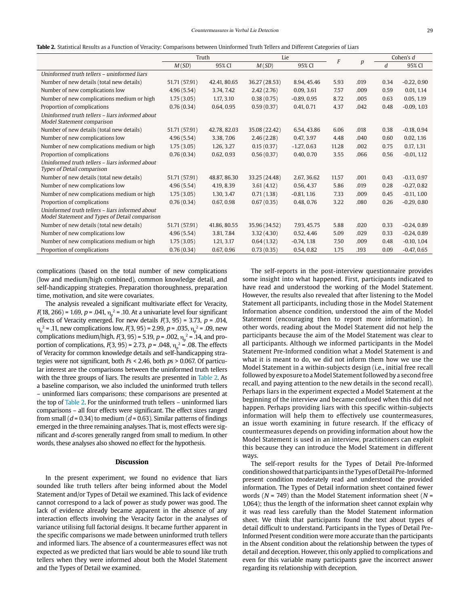|  |  |  |  |  |  |  |  |  |  |  | <b>Table 2.</b> Statistical Results as a Function of Veracity: Comparisons between Uninformed Truth Tellers and Different Categories of Liars |  |  |  |  |  |  |  |  |  |  |  |
|--|--|--|--|--|--|--|--|--|--|--|-----------------------------------------------------------------------------------------------------------------------------------------------|--|--|--|--|--|--|--|--|--|--|--|
|--|--|--|--|--|--|--|--|--|--|--|-----------------------------------------------------------------------------------------------------------------------------------------------|--|--|--|--|--|--|--|--|--|--|--|

|                                                                                                   | Truth         |              |               | Lie           |       |                  | Cohen's d |               |  |
|---------------------------------------------------------------------------------------------------|---------------|--------------|---------------|---------------|-------|------------------|-----------|---------------|--|
|                                                                                                   | M(SD)         | 95% CI       | M(SD)         | 95% CI        | F     | $\boldsymbol{p}$ | d         | 95% CI        |  |
| Uninformed truth tellers - uninformed liars                                                       |               |              |               |               |       |                  |           |               |  |
| Number of new details (total new details)                                                         | 51.71 (57.91) | 42.41, 80.65 | 36.27 (28.53) | 8.94, 45.46   | 5.93  | .019             | 0.34      | $-0.22, 0.90$ |  |
| Number of new complications low                                                                   | 4.96(5.54)    | 3.74, 7.42   | 2.42(2.76)    | 0.09, 3.61    | 7.57  | .009             | 0.59      | 0.01, 1.14    |  |
| Number of new complications medium or high                                                        | 1.75(3.05)    | 1.17, 3.10   | 0.38(0.75)    | $-0.89, 0.95$ | 8.72  | .005             | 0.63      | 0.05.119      |  |
| Proportion of complications                                                                       | 0.76(0.34)    | 0.64, 0.95   | 0.59(0.37)    | 0.41, 0.71    | 4.37  | .042             | 0.48      | $-0.09, 1.03$ |  |
| Uninformed truth tellers - liars informed about<br>Model Statement comparison                     |               |              |               |               |       |                  |           |               |  |
| Number of new details (total new details)                                                         | 51.71 (57.91) | 42.78, 82.03 | 35.08 (22.42) | 6.54, 43.86   | 6.06  | .018             | 0.38      | $-0.18, 0.94$ |  |
| Number of new complications low                                                                   | 4.96(5.54)    | 3.38, 7.06   | 2.46(2.28)    | 0.47, 3.97    | 4.48  | .040             | 0.60      | 0.02, 1.16    |  |
| Number of new complications medium or high                                                        | 1.75(3.05)    | 1.26, 3.27   | 0.15(0.37)    | $-1.27, 0.63$ | 11.28 | .002             | 0.75      | 0.17, 1.31    |  |
| Proportion of complications                                                                       | 0.76(0.34)    | 0.62, 0.93   | 0.56(0.37)    | 0.40, 0.70    | 3.55  | .066             | 0.56      | $-0.01, 1.12$ |  |
| Uninformed truth tellers - liars informed about<br>Types of Detail comparison                     |               |              |               |               |       |                  |           |               |  |
| Number of new details (total new details)                                                         | 51.71 (57.91) | 48.87, 86.30 | 33.25 (24.48) | 2.67, 36.62   | 11.57 | .001             | 0.43      | $-0.13, 0.97$ |  |
| Number of new complications low                                                                   | 4.96(5.54)    | 4.19, 8.39   | 3.61(4.12)    | 0.56, 4.37    | 5.86  | .019             | 0.28      | $-0.27, 0.82$ |  |
| Number of new complications medium or high                                                        | 1.75(3.05)    | 1.30, 3.47   | 0.71(1.38)    | $-0.81, 1.16$ | 7.33  | .009             | 0.45      | $-0.11, 1.00$ |  |
| Proportion of complications                                                                       | 0.76(0.34)    | 0.67, 0.98   | 0.67(0.35)    | 0.48, 0.76    | 3.22  | .080             | 0.26      | $-0.29, 0.80$ |  |
| Uninformed truth tellers - liars informed about<br>Model Statement and Types of Detail comparison |               |              |               |               |       |                  |           |               |  |
| Number of new details (total new details)                                                         | 51.71 (57.91) | 41.86, 80.55 | 35.96 (34.52) | 7.93, 45.75   | 5.88  | .020             | 0.33      | $-0.24, 0.89$ |  |
| Number of new complications low                                                                   | 4.96(5.54)    | 3.81, 7.84   | 3.32(4.30)    | 0.52, 4.46    | 5.09  | .029             | 0.33      | $-0.24, 0.89$ |  |
| Number of new complications medium or high                                                        | 1.75(3.05)    | 1.21, 3.17   | 0.64(1.32)    | $-0.74, 1.18$ | 7.50  | .009             | 0.48      | $-0.10, 1.04$ |  |
| Proportion of complications                                                                       | 0.76(0.34)    | 0.67, 0.96   | 0.73(0.35)    | 0.54, 0.82    | 1.75  | .193             | 0.09      | $-0.47, 0.65$ |  |

complications (based on the total number of new complications (low and medium/high combined), common knowledge detail, and self-handicapping strategies. Preparation thoroughness, preparation time, motivation, and site were covariates.

The analysis revealed a significant multivariate effect for Veracity,  $F(18, 266)$  = 1.69, p = .041,  $\eta_p^2$  = .10. At a univariate level four significant effects of Veracity emerged. For new details  $F(3, 95) = 3.73$ ,  $p = .014$ ,  $\eta_{p}^2$  = .11, new complications low,  $F(3, 95)$  = 2.99, p = .035,  $\eta_{p}^2$  = .09, new complications medium/high,  $F(3,95)$  = 5.19, p = .002,  $\eta_{\text{p}}^2$  = .14, and proportion of complications,  $F(3, 95) = 2.73$ ,  $p = .048$ ,  $\eta_p^2 = .08$ . The effects of Veracity for common knowledge details and self-handicapping strategies were not significant, both  $Fs < 2.46$ , both  $ps > 0.067$ . Of particular interest are the comparisons between the uninformed truth tellers with the three groups of liars. The results are presented in Table 2. As a baseline comparison, we also included the uninformed truth tellers – uninformed liars comparisons; these comparisons are presented at the top of Table 2. For the uninformed truth tellers – uninformed liars comparisons – all four effects were significant. The effect sizes ranged from small ( $d = 0.34$ ) to medium ( $d = 0.63$ ). Similar patterns of findings emerged in the three remaining analyses. That is, most effects were significant and d-scores generally ranged from small to medium. In other words, these analyses also showed no effect for the hypothesis.

#### **Discussion**

In the present experiment, we found no evidence that liars sounded like truth tellers after being informed about the Model Statement and/or Types of Detail we examined. This lack of evidence cannot correspond to a lack of power as study power was good. The lack of evidence already became apparent in the absence of any interaction effects involving the Veracity factor in the analyses of variance utilising full factorial designs. It became further apparent in the specific comparisons we made between uninformed truth tellers and informed liars. The absence of a countermeasures effect was not expected as we predicted that liars would be able to sound like truth tellers when they were informed about both the Model Statement and the Types of Detail we examined.

The self-reports in the post-interview questionnaire provides some insight into what happened. First, participants indicated to have read and understood the working of the Model Statement. However, the results also revealed that after listening to the Model Statement all participants, including those in the Model Statement Information absence condition, understood the aim of the Model Statement (encouraging then to report more information). In other words, reading about the Model Statement did not help the participants because the aim of the Model Statement was clear to all participants. Although we informed participants in the Model Statement Pre-Informed condition what a Model Statement is and what it is meant to do, we did not inform them how we use the Model Statement in a within-subjects design (i.e., initial free recall followed by exposure to a Model Statement followed by a second free recall, and paying attention to the new details in the second recall). Perhaps liars in the experiment expected a Model Statement at the beginning of the interview and became confused when this did not happen. Perhaps providing liars with this specific within-subjects information will help them to effectively use countermeasures, an issue worth examining in future research. If the efficacy of countermeasures depends on providing information about how the Model Statement is used in an interview, practitioners can exploit this because they can introduce the Model Statement in different ways.

The self-report results for the Types of Detail Pre-Informed condition showed that participants in the Types of Detail Pre-Informed present condition moderately read and understood the provided information. The Types of Detail information sheet contained fewer words ( $N = 749$ ) than the Model Statement information sheet ( $N =$ 1,064); thus the length of the information sheet cannot explain why it was read less carefully than the Model Statement information sheet. We think that participants found the text about types of detail difficult to understand. Participants in the Types of Detail Pre-Informed Present condition were more accurate than the participants in the Absent condition about the relationship between the types of detail and deception. However, this only applied to complications and even for this variable many participants gave the incorrect answer regarding its relationship with deception.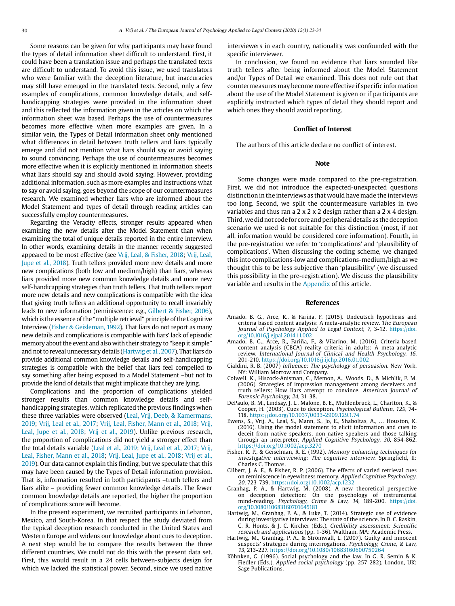Some reasons can be given for why participants may have found the types of detail information sheet difficult to understand. First, it could have been a translation issue and perhaps the translated texts are difficult to understand. To avoid this issue, we used translators who were familiar with the deception literature, but inaccuracies may still have emerged in the translated texts. Second, only a few examples of complications, common knowledge details, and selfhandicapping strategies were provided in the information sheet and this reflected the information given in the articles on which the information sheet was based. Perhaps the use of countermeasures becomes more effective when more examples are given. In a similar vein, the Types of Detail information sheet only mentioned what differences in detail between truth tellers and liars typically emerge and did not mention what liars should say or avoid saying to sound convincing. Perhaps the use of countermeasures becomes more effective when it is explicitly mentioned in information sheets what liars should say and should avoid saying. However, providing additional information, such as more examples and instructions what to say or avoid saying, goes beyond the scope of our countermeasures research. We examined whether liars who are informed about the Model Statement and types of detail through reading articles can successfully employ countermeasures.

Regarding the Veracity effects, stronger results appeared when examining the new details after the Model Statement than when examining the total of unique details reported in the entire interview. In other words, examining details in the manner recently suggested appeared to be most effective (see Vrij, Leal, & Fisher, 2018; Vrij, Leal, Jupe et al., 2018). Truth tellers provided more new details and more new complications (both low and medium/high) than liars, whereas liars provided more new common knowledge details and more new self-handicapping strategies than truth tellers. That truth tellers report more new details and new complications is compatible with the idea that giving truth tellers an additional opportunity to recall invariably leads to new information (reminiscence: e.g., Gilbert & Fisher, 2006), which is the essence of the "multiple retrieval" principle of the Cognitive Interview (Fisher & Geisleman, 1992). That liars do not report as many new details and complications is compatible with liars' lack of episodic memory about the event and also with their strategy to "keep it simple" and not to reveal unnecessary details (Hartwig et al., 2007). That liars do provide additional common knowledge details and self-handicapping strategies is compatible with the belief that liars feel compelled to say something after being exposed to a Model Statement –but not to provide the kind of details that might implicate that they are lying.

Complications and the proportion of complications yielded stronger results than common knowledge details and selfhandicapping strategies, which replicated the previous findings when these three variables were observed (Leal, Vrij, Deeb, & Kamermans, 2019; Vrij, Leal et al., 2017; Vrij, Leal, Fisher, Mann et al., 2018; Vrij, Leal, Jupe et al., 2018; Vrij et al., 2019). Unlike previous research, the proportion of complications did not yield a stronger effect than the total details variable (Leal et al., 2019; Vrij, Leal et al., 2017; Vrij, Leal, Fisher, Mann et al., 2018; Vrij, Leal, Jupe et al., 2018; Vrij et al., 2019). Our data cannot explain this finding, but we speculate that this may have been caused by the Types of Detail information provision. That is, information resulted in both participants -truth tellers and liars alike – providing fewer common knowledge details. The fewer common knowledge details are reported, the higher the proportion of complications score will become.

In the present experiment, we recruited participants in Lebanon, Mexico, and South-Korea. In that respect the study deviated from the typical deception research conducted in the United States and Western Europe and widens our knowledge about cues to deception. A next step would be to compare the results between the three different countries. We could not do this with the present data set. First, this would result in a 24 cells between-subjects design for which we lacked the statistical power. Second, since we used native

interviewers in each country, nationality was confounded with the specific interviewer.

In conclusion, we found no evidence that liars sounded like truth tellers after being informed about the Model Statement and/or Types of Detail we examined. This does not rule out that countermeasures may become more effective if specific information about the use of the Model Statement is given or if participants are explicitly instructed which types of detail they should report and which ones they should avoid reporting.

# **Conflict of Interest**

The authors of this article declare no conflict of interest.

#### **Note**

<sup>1</sup>Some changes were made compared to the pre-registration. First, we did not introduce the expected-unexpected questions distinction in the interviews as that would have made the interviews too long. Second, we split the countermeasure variables in two variables and thus ran a 2 x 2 x 2 design rather than a 2 x 4 design. Third, we did not code for core and peripheral details as the deception scenario we used is not suitable for this distinction (most, if not all, information would be considered core information). Fourth, in the pre-registration we refer to 'complications' and 'plausibility of complications'. When discussing the coding scheme, we changed this into complications-low and complications-medium/high as we thought this to be less subjective than 'plausibility' (we discussed this possibility in the pre-registration). We discuss the plausibility variable and results in the Appendix of this article.

#### **References**

- Amado, B. G., Arce, R., & Fariña, F. (2015). Undeutsch hypothesis and criteria based content analysis: A meta-analytic review. The European Journal of Psychology Applied to Legal Context, 7, 3-12. [https://doi.](https://doi.org/10.1016/j.ejpal.2014.11.002) [org/10.1016/j.ejpal.2014.11.002](https://doi.org/10.1016/j.ejpal.2014.11.002)
- Amado, B. G., Arce, R., Fariña, F., & Vilarino, M. (2016). Criteria-based content analysis (CBCA) reality criteria in adults: A meta-analytic review. International Journal of Clinical and Health Psychology, 16, 201-210. https://doi.org/10.1016/j.ijchp.2016.01.002
- Cialdini, R. B. (2007) Influence: The psychology of persuasion. New York, NY: William Morrow and Company.
- Colwell, K., Hiscock-Anisman, C., Memon, A., Woods, D., & Michlik, P. M. (2006). Strategies of impression management among deceivers and truth tellers: How liars attempt to convince. American Journal of Forensic Psychology, 24, 31-38.
- DePaulo, B. M., Lindsay, J. L., Malone, B. E., Muhlenbruck, L., Charlton, K., & Cooper, H. (2003). Cues to deception. Psychological Bulletin, 129, 74- 118. https://doi.org/10.1037/0033-2909.129.1.74
- Ewens, S., Vrij, A., Leal, S., Mann, S., Jo, E., Shaboltas, A., … Houston, K. (2016). Using the model statement to elicit information and cues to deceit from native speakers, non-native speakers and those talking through an interpreter. Applied Cognitive Psychology, 30, 854-862. https://doi.org/10.1002/acp.3270
- Fisher, R. P., & Geiselman, R. E. (1992). Memory enhancing techniques for investigative interviewing: The cognitive interview. Springfield, Il: Charles C. Thomas.
- Gilbert, J. A. E., & Fisher, R. P. (2006). The effects of varied retrieval cues on reminiscence in eyewitness memory. Applied Cognitive Psychology, 20, 723-739. https://doi.org/10.1002/acp.1232
- Granhag, P. A., & Hartwig, M. (2008). A new theoretical perspective on deception detection: On the psychology of instrumental mind-reading. Psychology, Crime & Law, 14, 189-200. [https://doi.](https://doi.org/10.1080/10683160701645181) [org/10.1080/10683160701645181](https://doi.org/10.1080/10683160701645181)
- Hartwig, M., Granhag, P. A., & Luke, T. (2014). Strategic use of evidence during investigative interviews: The state of the science. In D. C. Raskin, C. R. Honts, & J. C. Kircher (Eds.), Credibility assessment: Scientific research and applications (pp. 1-36). Waltham, MA: Academic Press.
- Hartwig, M., Granhag, P. A., & Strömwall, L. (2007). Guilty and innocent suspects' strategies during interrogations. Psychology, Crime, & Law, 13, 213-227. https://doi.org/10.1080/10683160600750264
- Köhnken, G. (1996). Social psychology and the law. In G. R. Semin & K. Fiedler (Eds.), Applied social psychology (pp. 257-282). London, UK: Sage Publications.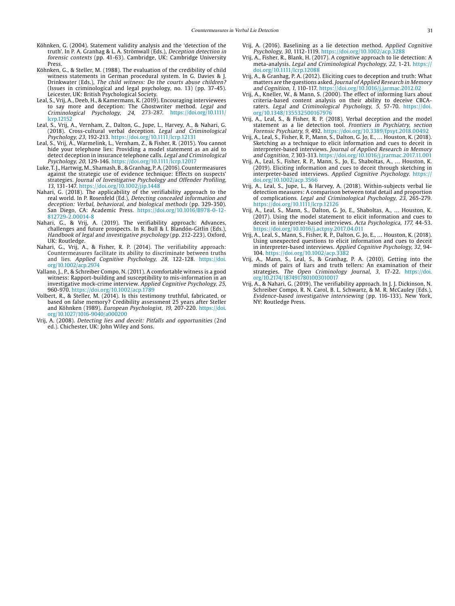- Köhnken, G. (2004). Statement validity analysis and the 'detection of the truth'. In P. A. Granhag & L. A. Strömwall (Eds.), Deception detection in forensic contexts (pp. 41-63). Cambridge, UK: Cambridge University Press.
- Köhnken, G., & Steller, M. (1988). The evaluation of the credibility of child witness statements in German procedural system. In G. Davies & J. Drinkwater (Eds.), The child witness: Do the courts abuse children? (Issues in criminological and legal psychology, no. 13) (pp. 37-45). Leicester, UK: British Psychological Society.
- Leal, S., Vrij, A., Deeb, H., & Kamermans, K. (2019). Encouraging interviewees to say more and deception: The Ghostwriter method. Legal and Criminological Psychology, 24, 273-287. [https://doi.org/10.1111/](https://doi.org/10.1111/lcrp.12152) [lcrp.12152](https://doi.org/10.1111/lcrp.12152)
- Leal, S., Vrij, A., Vernham, Z., Dalton, G., Jupe, L., Harvey, A., & Nahari, G. (2018). Cross-cultural verbal deception. Legal and Criminological Psychology, 23, 192-213. https://doi.org/10.1111/lcrp.12131
- Leal, S., Vrij, A., Warmelink, L., Vernham, Z., & Fisher, R. (2015). You cannot hide your telephone lies: Providing a model statement as an aid to detect deception in insurance telephone calls. Legal and Criminological Psychology, 20, 129-146. https://doi.org/10.1111/lcrp.12017
- Luke, T. J., Hartwig, M., Shamash, B., & Granhag, P. A. (2016). Countermeasures against the strategic use of evidence technique: Effects on suspects' strategies. Journal of Investigative Psychology and Offender Profiling, 13, 131-147. https://doi.org/10.1002/jip.1448
- Nahari, G. (2018). The applicability of the verifiability approach to the real world. In P. Rosenfeld (Ed.), Detecting concealed information and deception: Verbal, behavioral, and biological methods (pp. 329-350). San Diego, CA: Academic Press. https://doi.org/10.1016/B978-0-12- 812729-2.00014-8
- Nahari, G., & Vrij, A. (2019). The verifiability approach: Advances, challenges and future prospects. In R. Bull & I. Blandón-Gitlin (Eds.), Handbook of legal and investigative psychology (pp. 212-223). Oxford, UK: Routledge.
- Nahari, G., Vrij, A., & Fisher, R. P. (2014). The verifiability approach: Countermeasures facilitate its ability to discriminate between truths and lies. Applied Cognitive Psychology, 28, 122-128. [https://doi.](https://doi.org/10.1002/acp.2974) [org/10.1002/acp.2974](https://doi.org/10.1002/acp.2974)
- Vallano, J., P., & Schreiber Compo, N. (2011). A comfortable witness is a good witness: Rapport-building and susceptibility to mis-information in an investigative mock-crime interview. Applied Cognitive Psychology, 25, 960-970. https://doi.org/10.1002/acp.1789
- Volbert, R., & Steller, M. (2014). Is this testimony truthful, fabricated, or based on false memory? Credibility assessment 25 years after Steller and Köhnken (1989). European Psychologist, 19, 207-220. [https://doi.](https://doi.org/10.1027/1016-9040/a000200) [org/10.1027/1016-9040/a000200](https://doi.org/10.1027/1016-9040/a000200)
- Vrij, A. (2008). Detecting lies and deceit: Pitfalls and opportunities (2nd ed.). Chichester, UK: John Wiley and Sons.
- Vrij, A. (2016). Baselining as a lie detection method. Applied Cognitive Psychology, 30, 1112-1119. https://doi.org/10.1002/acp.3288
- Vrij, A., Fisher, R., Blank, H. (2017). A cognitive approach to lie detection: A meta-analysis. Legal and Criminological Psychology, 22, 1-21. https:// doi.org/10.1111/lcrp.12088
- Vrij, A., & Granhag, P. A. (2012). Eliciting cues to deception and truth: What matters are the questions asked. Journal of Applied Research in Memory and Cognition, 1, 110-117. https://doi.org/10.1016/j.jarmac.2012.02
- Vrij, A., Kneller, W., & Mann, S. (2000). The effect of informing liars about criteria-based content analysis on their ability to deceive CBCAraters. Legal and Criminological Psychology, 5, 57-70. https://doi. org[/10.1348/135532500167976](https://doi.org/10.1348/135532500167976)
- Vrij, A., Leal, S., & Fisher, R. P. (2018). Verbal deception and the model statement as a lie detection tool. Frontiers in Psychiatry, section Forensic Psychiatry, 9, 492. https://doi.org/10.3389/fpsyt.2018.00492
- Vrij, A., Leal, S., Fisher, R. P., Mann, S., Dalton, G. Jo, E., … Houston, K. (2018). Sketching as a technique to elicit information and cues to deceit in interpreter-based interviews. Journal of Applied Research in Memory and Cognition, 7, 303-313. https://doi.org/10.1016/j.jrarmac.2017.11.001
- Vrij, A., Leal, S., Fisher, R. P., Mann, S., Jo, E., Shaboltas, A., … Houston, K. (2019). Eliciting information and cues to deceit through sketching in interpreter-based interviews. Applied Cognitive Psychology. https:// doi.org/10.1002/acp.3566
- Vrij, A., Leal, S., Jupe, L., & Harvey, A. (2018). Within-subjects verbal lie detection measures: A comparison between total detail and proportion of complications. Legal and Criminological Psychology, 23, 265-279. https://doi.org/10.1111/lcrp.12126
- Vrij, A., Leal, S., Mann, S., Dalton, G. Jo, E., Shaboltas, A., … Houston, K. (2017). Using the model statement to elicit information and cues to deceit in interpreter-based interviews. Acta Psychologica, 177, 44-53. https://doi.org/10.1016/j.actpsy.2017.04.011
- Vrij, A., Leal, S., Mann, S., Fisher, R. P., Dalton, G. Jo, E., … Houston, K. (2018). Using unexpected questions to elicit information and cues to deceit in interpreter-based interviews. Applied Cognitive Psychology, 32, 94- 104. https://doi.org/10.1002/acp.3382
- Vrij, A., Mann, S., Leal, S., & Granhag, P. A. (2010). Getting into the minds of pairs of liars and truth tellers: An examination of their strategies. The Open Criminology Journal, 3, 17-22. [https://doi.](https://doi.org/10.2174/1874917801003010017) [org/10.2174/1874917801003010017](https://doi.org/10.2174/1874917801003010017)
- Vrij, A., & Nahari, G. (2019). The verifiability approach. In J. J. Dickinson, N. Schreiber Compo, R. N. Carol, B. L. Schwartz, & M. R. McCauley (Eds.), Evidence-based investigative interviewing (pp. 116-133). New York, NY: Routledge Press.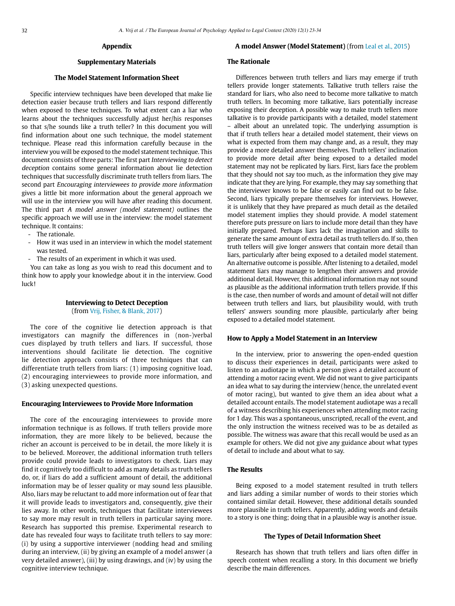#### **Appendix**

#### **Supplementary Materials**

# **The Model Statement Information Sheet**

Specific interview techniques have been developed that make lie detection easier because truth tellers and liars respond differently when exposed to these techniques. To what extent can a liar who learns about the techniques successfully adjust her/his responses so that s/he sounds like a truth teller? In this document you will find information about one such technique, the model statement technique. Please read this information carefully because in the interview you will be exposed to the model statement technique. This document consists of three parts: The first part Interviewing to detect deception contains some general information about lie detection techniques that successfully discriminate truth tellers from liars. The second part Encouraging interviewees to provide more information gives a little bit more information about the general approach we will use in the interview you will have after reading this document. The third part A model answer (model statement) outlines the specific approach we will use in the interview: the model statement technique. It contains:

- The rationale.
- How it was used in an interview in which the model statement was tested.
- The results of an experiment in which it was used.

You can take as long as you wish to read this document and to think how to apply your knowledge about it in the interview. Good luck!

# **Interviewing to Detect Deception** (from Vrij, Fisher, & Blank, 2017)

The core of the cognitive lie detection approach is that investigators can magnify the differences in (non-)verbal cues displayed by truth tellers and liars. If successful, those interventions should facilitate lie detection. The cognitive lie detection approach consists of three techniques that can differentiate truth tellers from liars: (1) imposing cognitive load, (2) encouraging interviewees to provide more information, and (3) asking unexpected questions.

# **Encouraging Interviewees to Provide More Information**

The core of the encouraging interviewees to provide more information technique is as follows. If truth tellers provide more information, they are more likely to be believed, because the richer an account is perceived to be in detail, the more likely it is to be believed. Moreover, the additional information truth tellers provide could provide leads to investigators to check. Liars may find it cognitively too difficult to add as many details as truth tellers do, or, if liars do add a sufficient amount of detail, the additional information may be of lesser quality or may sound less plausible. Also, liars may be reluctant to add more information out of fear that it will provide leads to investigators and, consequently, give their lies away. In other words, techniques that facilitate interviewees to say more may result in truth tellers in particular saying more. Research has supported this premise. Experimental research to date has revealed four ways to facilitate truth tellers to say more: (i) by using a supportive interviewer (nodding head and smiling during an interview, (ii) by giving an example of a model answer (a very detailed answer), (iii) by using drawings, and (iv) by using the cognitive interview technique.

# **A model Answer (Model Statement)** (from Leal et al., 2015)

#### **The Rationale**

Differences between truth tellers and liars may emerge if truth tellers provide longer statements. Talkative truth tellers raise the standard for liars, who also need to become more talkative to match truth tellers. In becoming more talkative, liars potentially increase exposing their deception. A possible way to make truth tellers more talkative is to provide participants with a detailed, model statement – albeit about an unrelated topic. The underlying assumption is that if truth tellers hear a detailed model statement, their views on what is expected from them may change and, as a result, they may provide a more detailed answer themselves. Truth tellers' inclination to provide more detail after being exposed to a detailed model statement may not be replicated by liars. First, liars face the problem that they should not say too much, as the information they give may indicate that they are lying. For example, they may say something that the interviewer knows to be false or easily can find out to be false. Second, liars typically prepare themselves for interviews. However, it is unlikely that they have prepared as much detail as the detailed model statement implies they should provide. A model statement therefore puts pressure on liars to include more detail than they have initially prepared. Perhaps liars lack the imagination and skills to generate the same amount of extra detail as truth tellers do. If so, then truth tellers will give longer answers that contain more detail than liars, particularly after being exposed to a detailed model statement. An alternative outcome is possible. After listening to a detailed, model statement liars may manage to lengthen their answers and provide additional detail. However, this additional information may not sound as plausible as the additional information truth tellers provide. If this is the case, then number of words and amount of detail will not differ between truth tellers and liars, but plausibility would, with truth tellers' answers sounding more plausible, particularly after being exposed to a detailed model statement.

# **How to Apply a Model Statement in an Interview**

In the interview, prior to answering the open-ended question to discuss their experiences in detail, participants were asked to listen to an audiotape in which a person gives a detailed account of attending a motor racing event. We did not want to give participants an idea what to say during the interview (hence, the unrelated event of motor racing), but wanted to give them an idea about what a detailed account entails. The model statement audiotape was a recall of a witness describing his experiences when attending motor racing for 1 day. This was a spontaneous, unscripted, recall of the event, and the only instruction the witness received was to be as detailed as possible. The witness was aware that this recall would be used as an example for others. We did not give any guidance about what types of detail to include and about what to say.

# **The Results**

Being exposed to a model statement resulted in truth tellers and liars adding a similar number of words to their stories which contained similar detail. However, these additional details sounded more plausible in truth tellers. Apparently, adding words and details to a story is one thing; doing that in a plausible way is another issue.

# **The Types of Detail Information Sheet**

Research has shown that truth tellers and liars often differ in speech content when recalling a story. In this document we briefly describe the main differences.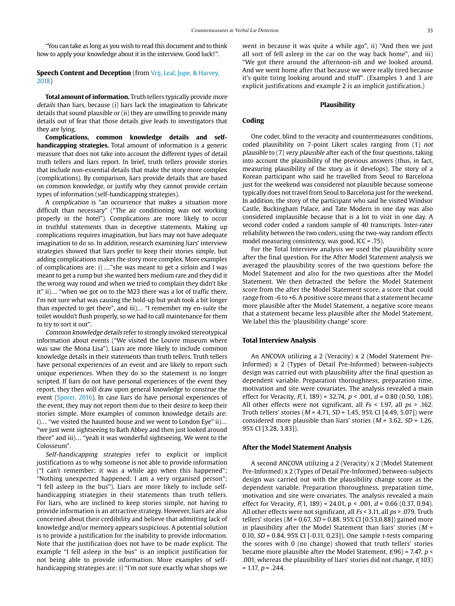"You can take as long as you wish to read this document and to think how to apply your knowledge about it in the interview. Good luck!".

# **Speech Content and Deception** (from Vrij, Leal, Jupe, & Harvey, 2018)

**Total amount of information.** Truth tellers typically provide more details than liars, because (i) liars lack the imagination to fabricate details that sound plausible or (ii) they are unwilling to provide many details out of fear that those details give leads to investigators that they are lying.

**Complications, common knowledge details and selfhandicapping strategies.** Total amount of information is a generic measure that does not take into account the different types of detail truth tellers and liars report. In brief, truth tellers provide stories that include non-essential details that make the story more complex (complications). By comparison, liars provide details that are based on common knowledge, or justify why they cannot provide certain types of information (self-handicapping strategies).

A complication is "an occurrence that makes a situation more difficult than necessary" ("The air conditioning was not working properly in the hotel"). Complications are more likely to occur in truthful statements than in deceptive statements. Making up complications requires imagination, but liars may not have adequate imagination to do so. In addition, research examining liars' interview strategies showed that liars prefer to keep their stories simple, but adding complications makes the story more complex. More examples of complications are: i) …"she was meant to get a sirloin and I was meant to get a rump but she wanted hers medium rare and they did it the wrong way round and when we tried to complain they didn't like it" ii)… "when we got on to the M23 there was a lot of traffic there, I'm not sure what was causing the hold-up but yeah took a bit longer than expected to get there", and iii)… "I remember my en-suite the toilet wouldn't flush properly, so we had to call maintenance for them to try to sort it out".

Common knowledge details refer to strongly invoked stereotypical information about events ("We visited the Louvre museum where was saw the Mona Lisa"). Liars are more likely to include common knowledge details in their statements than truth tellers. Truth tellers have personal experiences of an event and are likely to report such unique experiences. When they do so the statement is no longer scripted. If liars do not have personal experiences of the event they report, they then will draw upon general knowledge to construe the event (Sporer, 2016). In case liars do have personal experiences of the event, they may not report them due to their desire to keep their stories simple. More examples of common knowledge details are: i)… "we visited the haunted house and we went to London Eye" ii)… "we just went sightseeing to Bath Abbey and then just looked around there" and iii)… "yeah it was wonderful sightseeing. We went to the Colosseum".

Self-handicapping strategies refer to explicit or implicit justifications as to why someone is not able to provide information ("I can't remember; it was a while ago when this happened"; "Nothing unexpected happened; I am a very organised person"; "I fell asleep in the bus"). Liars are more likely to include selfhandicapping strategies in their statements than truth tellers. For liars, who are inclined to keep stories simple, not having to provide information is an attractive strategy. However, liars are also concerned about their credibility and believe that admitting lack of knowledge and/or memory appears suspicious. A potential solution is to provide a justification for the inability to provide information. Note that the justification does not have to be made explicit. The example "I fell asleep in the bus" is an implicit justification for not being able to provide information. More examples of selfhandicapping strategies are: i) "I'm not sure exactly what shops we

went in because it was quite a while ago", ii) "And then we just all sort of fell asleep in the car on the way back home", and iii) "We got there around the afternoon-ish and we looked around. And we went home after that because we were really tired because it's quite tiring looking around and stuff". (Examples 1 and 3 are explicit justifications and example 2 is an implicit justification.)

#### **Plausibility**

# **Coding**

One coder, blind to the veracity and countermeasures conditions, coded plausibility on 7-point Likert scales ranging from (1) not plausible to (7) very plausible after each of the four questions, taking into account the plausibility of the previous answers (thus, in fact, measuring plausibility of the story as it develops). The story of a Korean participant who said he travelled from Seoul to Barcelona just for the weekend was considered not plausible because someone typically does not travel from Seoul to Barcelona just for the weekend. In addition, the story of the participant who said he visited Windsor Castle, Buckingham Palace, and Tate Modern in one day was also considered implausible because that is a lot to visit in one day. A second coder coded a random sample of 40 transcripts. Inter-rater reliability between the two coders, using the two-way random effects model measuring consistency, was good, ICC = .75).

For the Total Interview analysis we used the plausibility score after the final question. For the After Model Statement analysis we averaged the plausibility scores of the two questions before the Model Statement and also for the two questions after the Model Statement. We then detracted the before the Model Statement score from the after the Model Statement score, a score that could range from -6 to +6. A positive score means that a statement became more plausible after the Model Statement, a negative score means that a statement became less plausible after the Model Statement. We label this the 'plausibility change' score

#### **Total Interview Analysis**

An ANCOVA utilizing a 2 (Veracity) x 2 (Model Statement Pre-Informed) x 2 (Types of Detail Pre-Informed) between-subjects design was carried out with plausibility after the final question as dependent variable. Preparation thoroughness, preparation time, motivation and site were covariates. The analysis revealed a main effect for Veracity,  $F(1, 189) = 32.74$ ,  $p < .001$ ,  $d = 0.80$  (0.50, 1.08). All other effects were not significant, all  $Fs < 1.97$ , all  $ps > .162$ . Truth tellers' stories ( $M = 4.71$ ,  $SD = 1.45$ , 95% CI [4.49, 5.07]) were considered more plausible than liars' stories ( $M = 3.62$ ,  $SD = 1.26$ , 95% CI [3.28, 3.83]).

#### **After the Model Statement Analysis**

A second ANCOVA utilizing a 2 (Veracity) x 2 (Model Statement Pre-Informed) x 2 (Types of Detail Pre-Informed) between-subjects design was carried out with the plausibility change score as the dependent variable. Preparation thoroughness, preparation time, motivation and site were covariates. The analysis revealed a main effect for Veracity,  $F(1, 189) = 24.01$ ,  $p < .001$ ,  $d = 0.66$  (0.37, 0.94). All other effects were not significant, all  $Fs$  < 3.11, all  $ps$  > .079. Truth tellers' stories ( $M = 0.67$ ,  $SD = 0.88$ , 95% CI [0.53,0.88]) gained more in plausibility after the Model Statement than liars' stories ( $M =$ 0.10,  $SD = 0.84$ , 95% CI [-0.11, 0.23]). One sample *t*-tests comparing the scores with 0 (no change) showed that truth tellers' stories became more plausible after the Model Statement,  $t(96)$  = 7.47,  $p$  < .001, whereas the plausibility of liars' stories did not change, t(103)  $= 1.17, p = .244.$